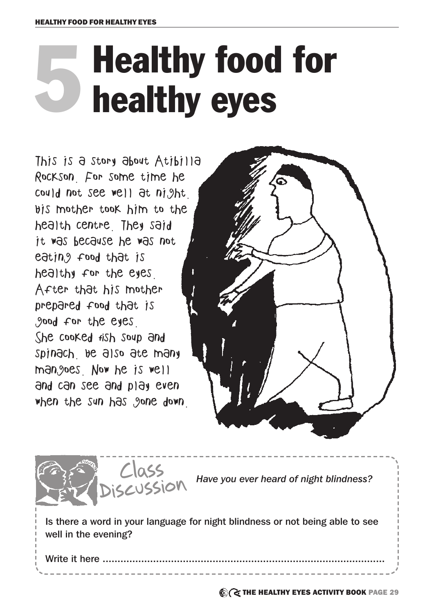# 5 Healthy food for healthy eyes

This is a story about Atibilla Rockson. For some time he could not see well at night. His mother took him to the health centre. They said it was because he was not eating food that is healthy for the eyes. After that his mother prepared food that is good for the eyes. She cooked fish soup and spinach. He also ate many mangoes. Now he is well and can see and play even when the sun has gone down





**C** THE HEALTHY EYES ACTIVITY BOOK PAGE 29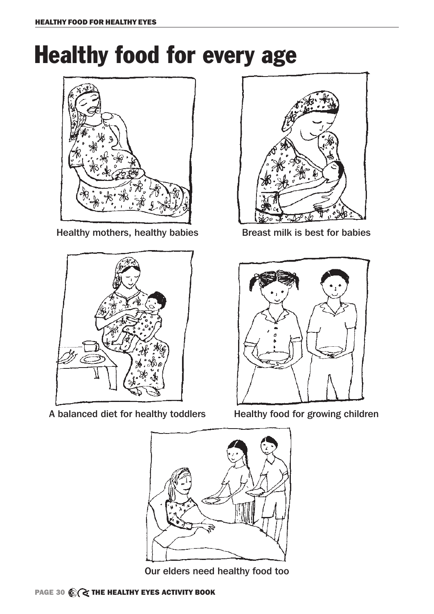## Healthy food for every age



Healthy mothers, healthy babies **Breast milk is best for babies** 



A balanced diet for healthy toddlers Healthy food for growing children







Our elders need healthy food too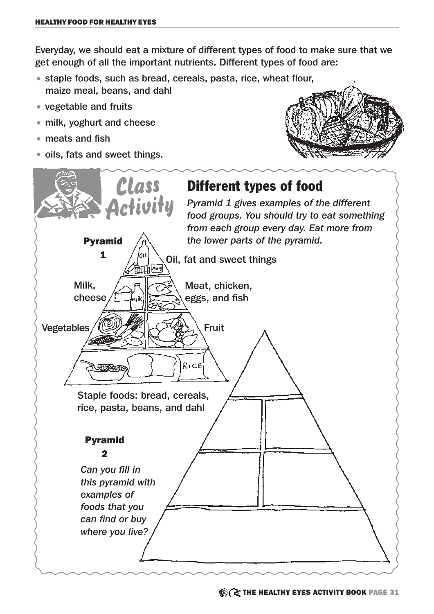Everyday, we should eat a mixture of different types of food to make sure that we get enough of all the important nutrients. Different types of food are:

- staple foods, such as bread, cereals, pasta, rice, wheat flour, maize meal, beans, and dahl
- vegetable and fruits
- milk, yoghurt and cheese
- meats and fish
- oils, fats and sweet things.



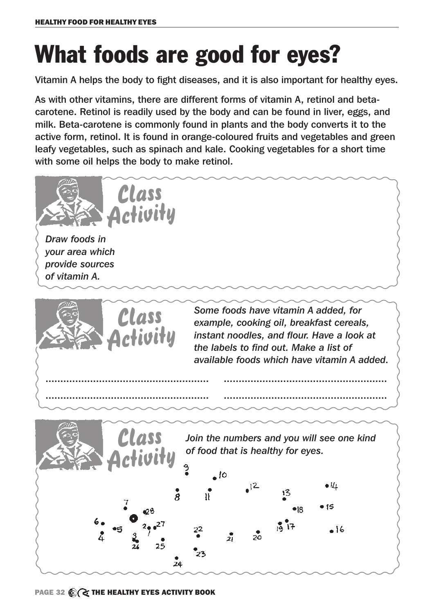## What foods are good for eyes?

Vitamin A helps the body to fight diseases, and it is also important for healthy eyes.

As with other vitamins, there are different forms of vitamin A, retinol and betacarotene. Retinol is readily used by the body and can be found in liver, eggs, and milk. Beta-carotene is commonly found in plants and the body converts it to the active form, retinol. It is found in orange-coloured fruits and vegetables and green leafy vegetables, such as spinach and kale. Cooking vegetables for a short time with some oil helps the body to make retinol.

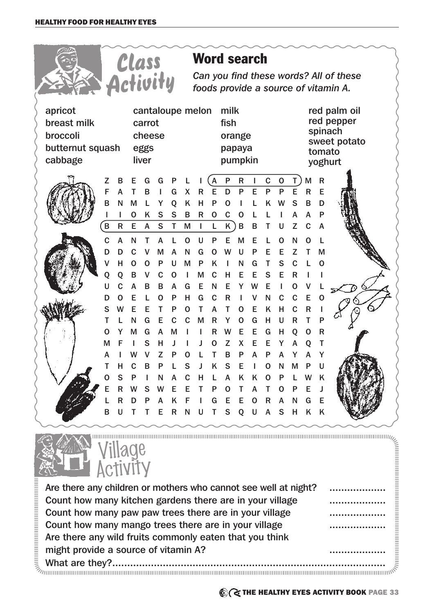|                                                                   |        |                                                                                                     |             |                                   |                  |        |                        |              |                  | <b>Word search</b>                          |              |        |             |             |                  |              |              |                                                                  |
|-------------------------------------------------------------------|--------|-----------------------------------------------------------------------------------------------------|-------------|-----------------------------------|------------------|--------|------------------------|--------------|------------------|---------------------------------------------|--------------|--------|-------------|-------------|------------------|--------------|--------------|------------------------------------------------------------------|
|                                                                   |        | Class<br>Activity<br>Can you find these words? All of these<br>foods provide a source of vitamin A. |             |                                   |                  |        |                        |              |                  |                                             |              |        |             |             |                  |              |              |                                                                  |
| apricot<br>breast milk<br>broccoli<br>butternut squash<br>cabbage |        |                                                                                                     |             | carrot<br>cheese<br>eggs<br>liver | cantaloupe melon |        |                        |              |                  | milk<br>fish<br>orange<br>papaya<br>pumpkin |              |        |             |             |                  |              | tomato       | red palm oil<br>red pepper<br>spinach<br>sweet potato<br>yoghurt |
|                                                                   | Z      | в                                                                                                   | F           | G                                 | G                |        |                        |              | A                | $\mathsf{P}$                                | $\mathsf{R}$ | Ш      | $\mathbf C$ | $\mathbf 0$ | T                | М            | $\mathsf{R}$ |                                                                  |
|                                                                   | F      | A                                                                                                   |             | в                                 |                  | G      | X                      | R            | E                | D                                           | P            | E      | P           | P           | E                | R            | Е            |                                                                  |
|                                                                   | B      | N                                                                                                   | M           | L                                 | Y                | Q      | K                      | H            | P                | 0                                           |              |        | Κ           | W           | S                | B            | D            |                                                                  |
|                                                                   |        |                                                                                                     | $\mathbf 0$ | K                                 | S                | S      | B                      | $\mathsf R$  | $\mathbf 0$      | C                                           | O            |        |             |             | А                | А            | P            |                                                                  |
|                                                                   | B      | $\mathsf R$                                                                                         | E           | A                                 | S                | T      | M                      | I            | L                | Κ                                           | B            | B      |             | U           | Z                | C            | A            |                                                                  |
|                                                                   | C      | A                                                                                                   | N           | т                                 | A                |        | $\mathbf 0$            | U            | P                | F                                           | M            | F      |             | O           | N                |              |              |                                                                  |
|                                                                   | D      | D                                                                                                   | $\mathbf C$ | v                                 | М                | A      | N                      | G            | $\mathbf 0$      | W                                           | U            | P      | F           | E           | Z                |              | М            |                                                                  |
|                                                                   | ۷<br>Q | н<br>O                                                                                              | 0<br>B      | O<br>v                            | P<br>C           | U<br>O | M                      | P<br>M       | K<br>$\mathbf C$ | н                                           | N<br>Е       | G<br>Е | т<br>S      | S<br>Е      | $\mathbf C$<br>R |              |              |                                                                  |
|                                                                   | U      | C                                                                                                   | A           | B                                 | B                | A      | G                      | Е            | N                | Е                                           | Y            | W      | E           |             | $\mathbf 0$      |              |              |                                                                  |
|                                                                   | D      | O                                                                                                   | E           | L                                 | O                | P      | н                      | G            | $\mathbf C$      | R                                           |              |        | N           | C           | $\mathbf C$      | E            | O            |                                                                  |
|                                                                   | S      | w                                                                                                   | Е           | Е                                 | т                | P      | $\mathbf 0$            | т            | A                | т                                           | O            | E      | K           | н           | $\mathbf C$      | $\mathsf{R}$ |              |                                                                  |
|                                                                   | Т      |                                                                                                     | N           | G                                 | Е                | C      | C                      | M            | R                | Y                                           | O            | G      | н           | U           | R                | т            | P            |                                                                  |
|                                                                   | O      |                                                                                                     | M           | G                                 | A                | M      |                        | L            | R                | W                                           | Е            | Е      | G           | н           | O                | O            | R            |                                                                  |
|                                                                   | м      |                                                                                                     |             | S                                 | н                | J      |                        | ı            | O                | Z                                           | X            | E      | Е           | Y           | А                | Q            | Т            |                                                                  |
|                                                                   | А      |                                                                                                     |             |                                   |                  | Р      | O                      |              |                  | в                                           | P            | А      |             |             |                  |              |              |                                                                  |
|                                                                   |        |                                                                                                     | С           | в                                 |                  |        | S                      |              | K                | S                                           | E            |        | O           | N           | м                |              |              |                                                                  |
|                                                                   | O      | S                                                                                                   | P           |                                   | N                | A      | $\mathbf{C}$           | н            | L.               |                                             | A K K        |        | O           | P           |                  | w            | K            |                                                                  |
|                                                                   | Е      | R                                                                                                   | W           | S                                 | W                | E.     | Е                      | Т            | P                | $\mathbf 0$                                 | T            | A      | Т           | $\mathbf 0$ | P                | Е            | J            |                                                                  |
|                                                                   |        | $\mathsf{R}$                                                                                        | D           | P                                 | A                | K      | $\mid \mathsf{F} \mid$ | $\mathbf{1}$ | G                | E                                           | E O          |        | R A         |             | ${\sf N}$        | G            | E            |                                                                  |
|                                                                   | B      | U                                                                                                   | $T$ T       |                                   |                  |        |                        |              |                  | E R N U T S Q U A S H K K                   |              |        |             |             |                  |              |              |                                                                  |



Are there any children or mothers who cannot see well at night? ................. Count how many kitchen gardens there are in your village **...................**... Count how many paw paw trees there are in your village **...................**... Count how many mango trees there are in your village **....................**...... Are there any wild fruits commonly eaten that you think might provide a source of vitamin A? ................... What are they?............................................................................................